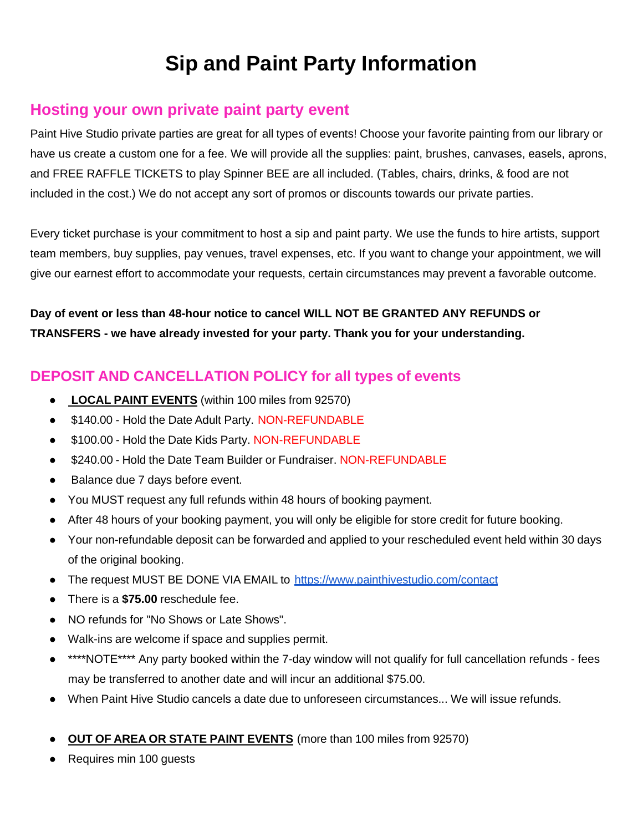# **Sip and Paint Party Information**

## **Hosting your own private paint party event**

Paint Hive Studio private parties are great for all types of events! Choose your favorite painting from our library or have us create a custom one for a fee. We will provide all the supplies: paint, brushes, canvases, easels, aprons, and FREE RAFFLE TICKETS to play Spinner BEE are all included. (Tables, chairs, drinks, & food are not included in the cost.) We do not accept any sort of promos or discounts towards our private parties.

Every ticket purchase is your commitment to host a sip and paint party. We use the funds to hire artists, support team members, buy supplies, pay venues, travel expenses, etc. If you want to change your appointment, we will give our earnest effort to accommodate your requests, certain circumstances may prevent a favorable outcome.

**Day of event or less than 48-hour notice to cancel WILL NOT BE GRANTED ANY REFUNDS or TRANSFERS - we have already invested for your party. Thank you for your understanding.**

### **DEPOSIT AND CANCELLATION POLICY for all types of events**

- **LOCAL PAINT EVENTS** (within 100 miles from 92570)
- \$140.00 Hold the Date Adult Party. NON-REFUNDABLE
- \$100.00 Hold the Date Kids Party. NON-REFUNDABLE
- \$240.00 Hold the Date Team Builder or Fundraiser. NON-REFUNDABLE
- Balance due 7 days before event.
- You MUST request any full refunds within 48 hours of booking payment.
- After 48 hours of your booking payment, you will only be eligible for store credit for future booking.
- Your non-refundable deposit can be forwarded and applied to your rescheduled event held within 30 days of the original booking.
- The request MUST BE DONE VIA EMAIL to <https://www.painthivestudio.com/contact>
- There is a **\$75.00** reschedule fee.
- NO refunds for "No Shows or Late Shows".
- Walk-ins are welcome if space and supplies permit.
- \*\*\*\*NOTE\*\*\*\* Any party booked within the 7-day window will not qualify for full cancellation refunds fees may be transferred to another date and will incur an additional \$75.00.
- When Paint Hive Studio cancels a date due to unforeseen circumstances... We will issue refunds.
- **OUT OF AREA OR STATE PAINT EVENTS** (more than 100 miles from 92570)
- Requires min 100 quests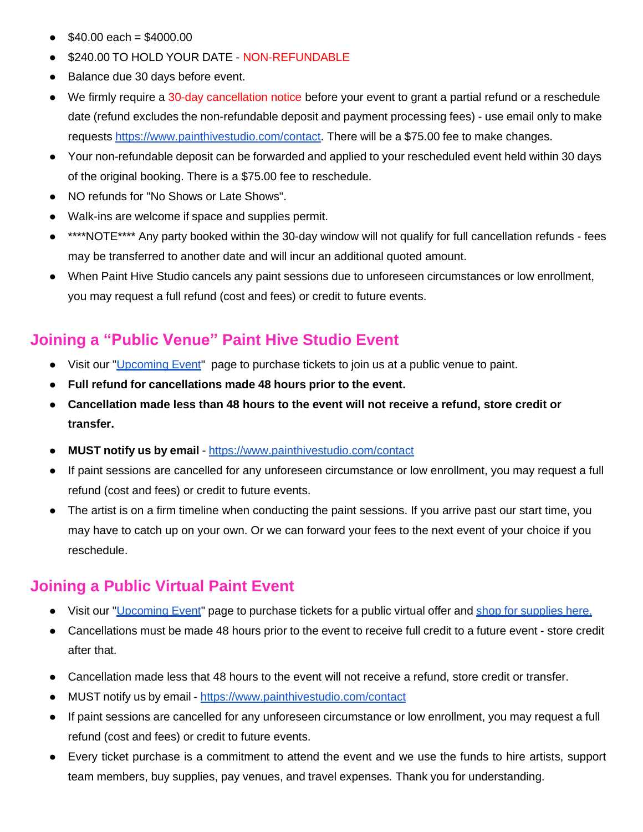- $$40.00$  each =  $$4000.00$
- \$240.00 TO HOLD YOUR DATE NON-REFUNDABLE
- Balance due 30 days before event.
- We firmly require a 30-day cancellation notice before your event to grant a partial refund or a reschedule date (refund excludes the non-refundable deposit and payment processing fees) - use email only to make requests [https://www.painthivestudio.com/contact.](https://www.painthivestudio.com/contact) There will be a \$75.00 fee to make changes.
- Your non-refundable deposit can be forwarded and applied to your rescheduled event held within 30 days of the original booking. There is a \$75.00 fee to reschedule.
- NO refunds for "No Shows or Late Shows".
- Walk-ins are welcome if space and supplies permit.
- \*\*\*\*NOTE\*\*\*\* Any party booked within the 30-day window will not qualify for full cancellation refunds fees may be transferred to another date and will incur an additional quoted amount.
- When Paint Hive Studio cancels any paint sessions due to unforeseen circumstances or low enrollment, you may request a full refund (cost and fees) or credit to future events.

# **Joining a "Public Venue" Paint Hive Studio Event**

- Visit our ["Upcoming](https://www.painthivestudio.com/upcoming-event-tickets) Event" page to purchase tickets to join us at a public venue to paint.
- **● Full refund for cancellations made 48 hours prior to the event.**
- **Cancellation made less than 48 hours to the event will not receive a refund, store credit or transfer.**
- **MUST notify us by email** <https://www.painthivestudio.com/contact>
- If paint sessions are cancelled for any unforeseen circumstance or low enrollment, you may request a full refund (cost and fees) or credit to future events.
- The artist is on a firm timeline when conducting the paint sessions. If you arrive past our start time, you may have to catch up on your own. Or we can forward your fees to the next event of your choice if you reschedule.

# **Joining a Public Virtual Paint Event**

- Visit our ["Upcoming](https://www.painthivestudio.com/upcoming-event-tickets) Event" page to purchase tickets for a public virtual offer and shop for [supplies](https://www.painthivestudio.com/shop) here.
- Cancellations must be made 48 hours prior to the event to receive full credit to a future event store credit after that.
- Cancellation made less that 48 hours to the event will not receive a refund, store credit or transfer.
- MUST notify us by email <https://www.painthivestudio.com/contact>
- If paint sessions are cancelled for any unforeseen circumstance or low enrollment, you may request a full refund (cost and fees) or credit to future events.
- Every ticket purchase is a commitment to attend the event and we use the funds to hire artists, support team members, buy supplies, pay venues, and travel expenses. Thank you for understanding.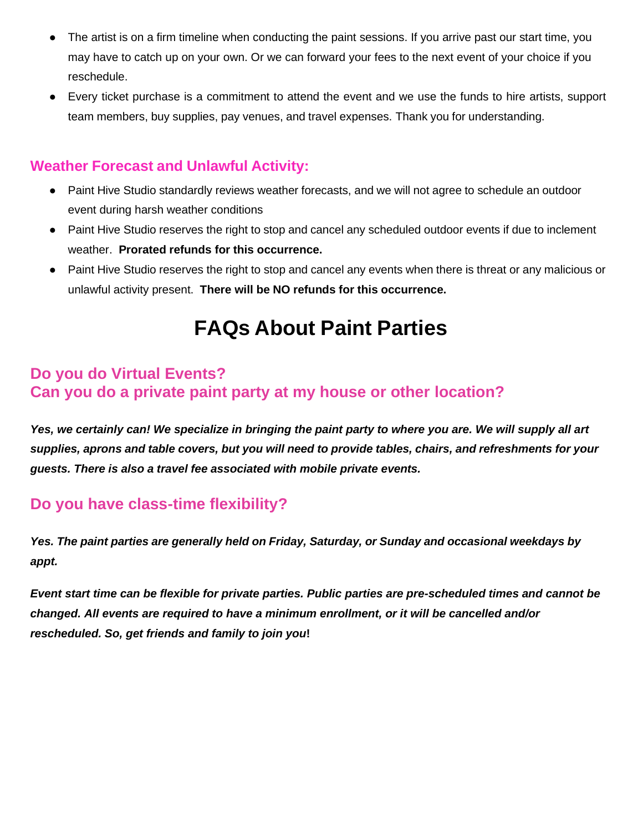- The artist is on a firm timeline when conducting the paint sessions. If you arrive past our start time, you may have to catch up on your own. Or we can forward your fees to the next event of your choice if you reschedule.
- Every ticket purchase is a commitment to attend the event and we use the funds to hire artists, support team members, buy supplies, pay venues, and travel expenses. Thank you for understanding.

#### **Weather Forecast and Unlawful Activity:**

- Paint Hive Studio standardly reviews weather forecasts, and we will not agree to schedule an outdoor event during harsh weather conditions
- Paint Hive Studio reserves the right to stop and cancel any scheduled outdoor events if due to inclement weather. **Prorated refunds for this occurrence.**
- Paint Hive Studio reserves the right to stop and cancel any events when there is threat or any malicious or unlawful activity present. **There will be NO refunds for this occurrence.**

# **FAQs About Paint Parties**

## **Do you do Virtual Events? Can you do a private paint party at my house or other location?**

*Yes, we certainly can! We specialize in bringing the paint party to where you are. We will supply all art supplies, aprons and table covers, but you will need to provide tables, chairs, and refreshments for your guests. There is also a travel fee associated with mobile private events.*

# **Do you have class-time flexibility?**

*Yes. The paint parties are generally held on Friday, Saturday, or Sunday and occasional weekdays by appt.*

*Event start time can be flexible for private parties. Public parties are pre-scheduled times and cannot be changed. All events are required to have a minimum enrollment, or it will be cancelled and/or rescheduled. So, get friends and family to join you***!**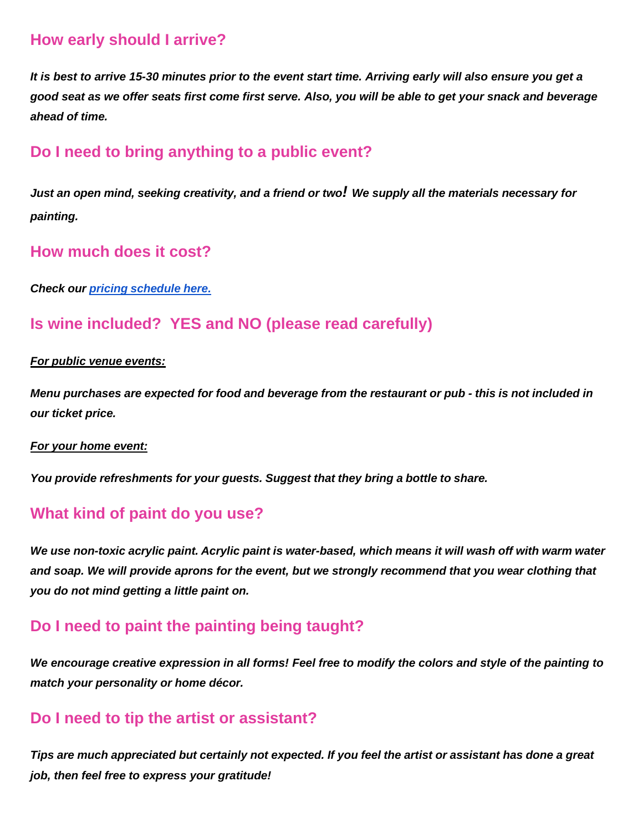### **How early should I arrive?**

*It is best to arrive 15-30 minutes prior to the event start time. Arriving early will also ensure you get a good seat as we offer seats first come first serve. Also, you will be able to get your snack and beverage ahead of time.*

#### **Do I need to bring anything to a public event?**

*Just an open mind, seeking creativity, and a friend or two! We supply all the materials necessary for painting.*

#### **How much does it cost?**

*Check our pricing [schedule](https://www.painthivestudio.com/faqs-pricing-refunds) here.*

#### **Is wine included? YES and NO (please read carefully)**

#### *For public venue events:*

Menu purchases are expected for food and beverage from the restaurant or pub - this is not included in *our ticket price.*

#### *For your home event:*

*You provide refreshments for your guests. Suggest that they bring a bottle to share.*

#### **What kind of paint do you use?**

We use non-toxic acrylic paint. Acrylic paint is water-based, which means it will wash off with warm water *and soap. We will provide aprons for the event, but we strongly recommend that you wear clothing that you do not mind getting a little paint on.*

#### **Do I need to paint the painting being taught?**

*We encourage creative expression in all forms! Feel free to modify the colors and style of the painting to match your personality or home décor.*

#### **Do I need to tip the artist or assistant?**

Tips are much appreciated but certainly not expected. If you feel the artist or assistant has done a great *job, then feel free to express your gratitude!*